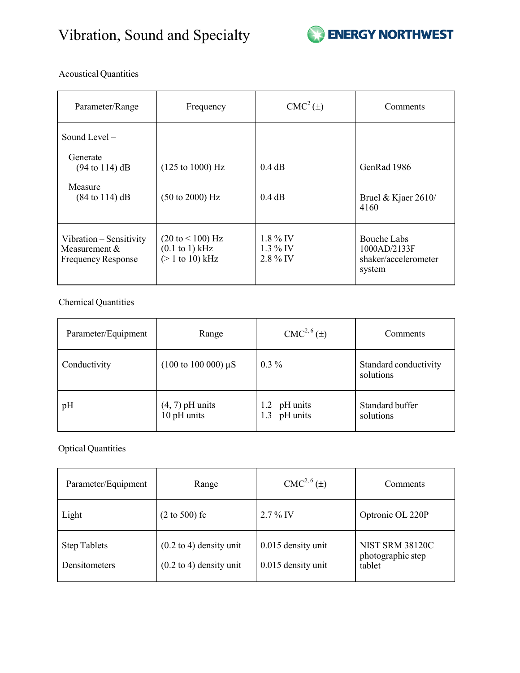

Acoustical Quantities

| Parameter/Range                                                       | Frequency                                                                   | $CMC2(\pm)$                            | Comments                                                      |
|-----------------------------------------------------------------------|-----------------------------------------------------------------------------|----------------------------------------|---------------------------------------------------------------|
| Sound Level $-$                                                       |                                                                             |                                        |                                                               |
| Generate<br>$(94 \text{ to } 114) \text{ dB}$                         | $(125 \text{ to } 1000) \text{ Hz}$                                         | 0.4 dB                                 | GenRad 1986                                                   |
| Measure<br>$(84 \text{ to } 114) \text{ dB}$                          | $(50 \text{ to } 2000) \text{ Hz}$                                          | 0.4 dB                                 | Bruel & Kjaer $2610/$<br>4160                                 |
| Vibration – Sensitivity<br>Measurement &<br><b>Frequency Response</b> | $(20 \text{ to} < 100) \text{ Hz}$<br>$(0.1$ to 1) kHz<br>$(> 1$ to 10) kHz | $1.8\%$ IV<br>$1.3\%$ IV<br>$2.8\%$ IV | Bouche Labs<br>1000AD/2133F<br>shaker/accelerometer<br>system |

Chemical Quantities

| Parameter/Equipment | Range                                     | CMC <sup>2, 6</sup> (±)            | Comments                           |
|---------------------|-------------------------------------------|------------------------------------|------------------------------------|
| Conductivity        | $(100 \text{ to } 100 \text{ 000}) \mu S$ | $0.3\%$                            | Standard conductivity<br>solutions |
| pH                  | $(4, 7)$ pH units<br>$10$ pH units        | pH units<br>1.2<br>pH units<br>1.3 | Standard buffer<br>solutions       |

Optical Quantities

| Parameter/Equipment                  | Range                                                                    | CMC <sup>2, 6</sup> (±)                  | Comments                                              |
|--------------------------------------|--------------------------------------------------------------------------|------------------------------------------|-------------------------------------------------------|
| Light                                | $(2 to 500)$ fc                                                          | $2.7\%$ IV                               | Optronic OL 220P                                      |
| <b>Step Tablets</b><br>Densitometers | $(0.2 \text{ to } 4)$ density unit<br>$(0.2 \text{ to } 4)$ density unit | 0.015 density unit<br>0.015 density unit | <b>NIST SRM 38120C</b><br>photographic step<br>tablet |